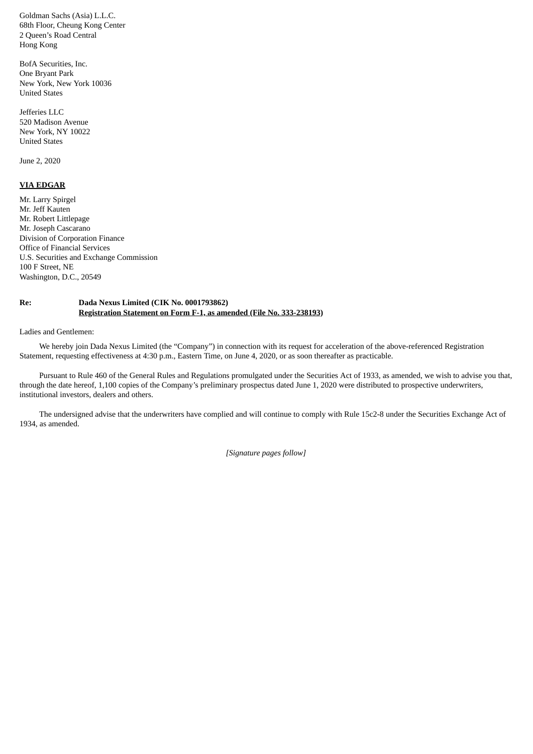Goldman Sachs (Asia) L.L.C. 68th Floor, Cheung Kong Center 2 Queen's Road Central Hong Kong

BofA Securities, Inc. One Bryant Park New York, New York 10036 United States

Jefferies LLC 520 Madison Avenue New York, NY 10022 United States

June 2, 2020

## **VIA EDGAR**

Mr. Larry Spirgel Mr. Jeff Kauten Mr. Robert Littlepage Mr. Joseph Cascarano Division of Corporation Finance Office of Financial Services U.S. Securities and Exchange Commission 100 F Street, NE Washington, D.C., 20549

## **Re: Dada Nexus Limited (CIK No. 0001793862) Registration Statement on Form F-1, as amended (File No. 333-238193)**

## Ladies and Gentlemen:

We hereby join Dada Nexus Limited (the "Company") in connection with its request for acceleration of the above-referenced Registration Statement, requesting effectiveness at 4:30 p.m., Eastern Time, on June 4, 2020, or as soon thereafter as practicable.

Pursuant to Rule 460 of the General Rules and Regulations promulgated under the Securities Act of 1933, as amended, we wish to advise you that, through the date hereof, 1,100 copies of the Company's preliminary prospectus dated June 1, 2020 were distributed to prospective underwriters, institutional investors, dealers and others.

The undersigned advise that the underwriters have complied and will continue to comply with Rule 15c2-8 under the Securities Exchange Act of 1934, as amended.

*[Signature pages follow]*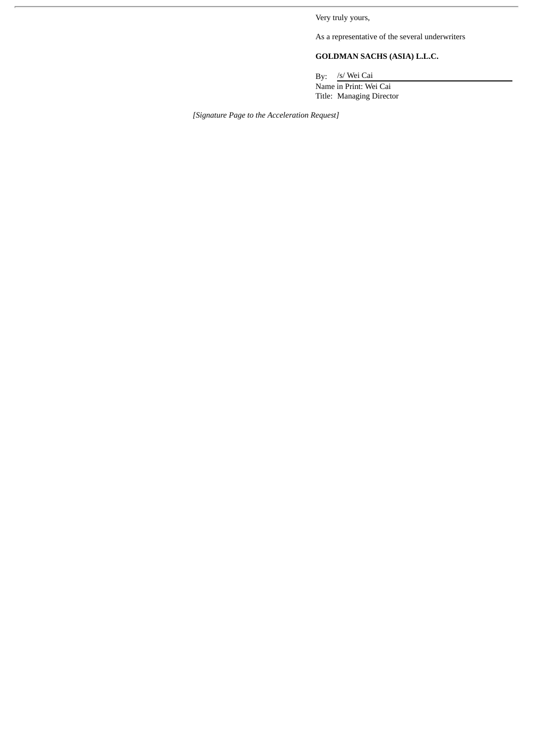Very truly yours,

As a representative of the several underwriters

## **GOLDMAN SACHS (ASIA) L.L.C.**

By: /s/ Wei Cai Name in Print: Wei Cai Title: Managing Director

*[Signature Page to the Acceleration Request]*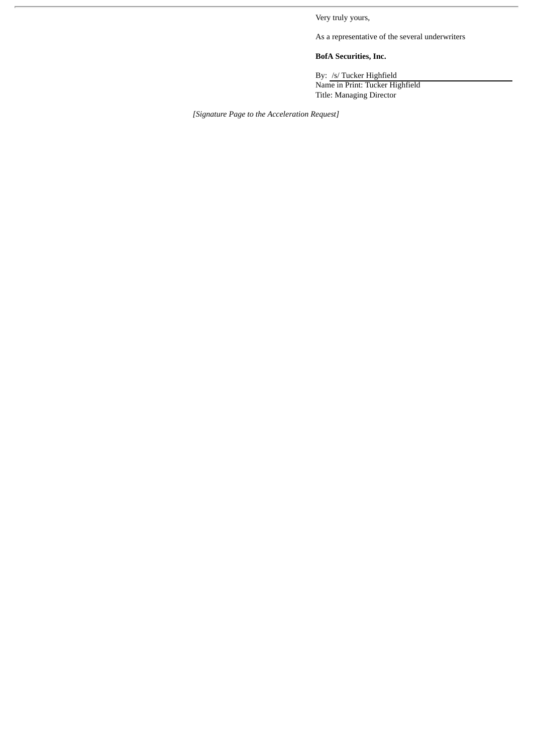Very truly yours,

As a representative of the several underwriters

**BofA Securities, Inc.**

By: /s/ Tucker Highfield Name in Print: Tucker Highfield Title: Managing Director

*[Signature Page to the Acceleration Request]*